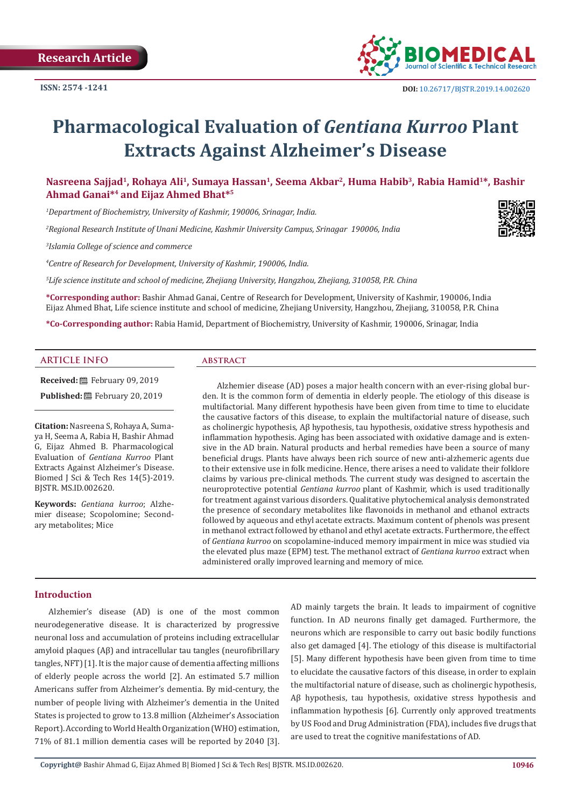

# **Pharmacological Evaluation of** *Gentiana Kurroo* **Plant Extracts Against Alzheimer's Disease**

Nasreena Sajjad<sup>1</sup>, Rohaya Ali<sup>1</sup>, Sumaya Hassan<sup>1</sup>, Seema Akbar<sup>2</sup>, Huma Habib<sup>3</sup>, Rabia Hamid<sup>1\*</sup>, Bashir **Ahmad Ganai\*4 and Eijaz Ahmed Bhat\*5**

*1 Department of Biochemistry, University of Kashmir, 190006, Srinagar, India.*

*2 Regional Research Institute of Unani Medicine, Kashmir University Campus, Srinagar 190006, India*

*3 Islamia College of science and commerce*

*4 Centre of Research for Development, University of Kashmir, 190006, India.*

*5 Life science institute and school of medicine, Zhejiang University, Hangzhou, Zhejiang, 310058, P.R. China*

**\*Corresponding author:** Bashir Ahmad Ganai, Centre of Research for Development, University of Kashmir, 190006, India Eijaz Ahmed Bhat, Life science institute and school of medicine, Zhejiang University, Hangzhou, Zhejiang, 310058, P.R. China

**\*Co-Corresponding author:** Rabia Hamid, Department of Biochemistry, University of Kashmir, 190006, Srinagar, India

### **ARTICLE INFO abstract**

**Received:** February 09, 2019 Published: **■**February 20, 2019

**Citation:** Nasreena S, Rohaya A, Sumaya H, Seema A, Rabia H, Bashir Ahmad G, Eijaz Ahmed B. Pharmacological Evaluation of *Gentiana Kurroo* Plant Extracts Against Alzheimer's Disease. Biomed J Sci & Tech Res 14(5)-2019. BJSTR. MS.ID.002620.

**Keywords:** *Gentiana kurroo*; Alzhemier disease; Scopolomine; Secondary metabolites; Mice

Alzhemier disease (AD) poses a major health concern with an ever-rising global burden. It is the common form of dementia in elderly people. The etiology of this disease is multifactorial. Many different hypothesis have been given from time to time to elucidate the causative factors of this disease, to explain the multifactorial nature of disease, such as cholinergic hypothesis, Aβ hypothesis, tau hypothesis, oxidative stress hypothesis and inflammation hypothesis. Aging has been associated with oxidative damage and is extensive in the AD brain. Natural products and herbal remedies have been a source of many beneficial drugs. Plants have always been rich source of new anti-alzhemeric agents due to their extensive use in folk medicine. Hence, there arises a need to validate their folklore claims by various pre-clinical methods. The current study was designed to ascertain the neuroprotective potential *Gentiana kurroo* plant of Kashmir, which is used traditionally for treatment against various disorders. Qualitative phytochemical analysis demonstrated the presence of secondary metabolites like flavonoids in methanol and ethanol extracts followed by aqueous and ethyl acetate extracts. Maximum content of phenols was present in methanol extract followed by ethanol and ethyl acetate extracts. Furthermore, the effect of *Gentiana kurroo* on scopolamine-induced memory impairment in mice was studied via the elevated plus maze (EPM) test. The methanol extract of *Gentiana kurroo* extract when administered orally improved learning and memory of mice.

#### **Introduction**

Alzhemier's disease (AD) is one of the most common neurodegenerative disease. It is characterized by progressive neuronal loss and accumulation of proteins including extracellular amyloid plaques (Aβ) and intracellular tau tangles (neurofibrillary tangles, NFT) [1]. It is the major cause of dementia affecting millions of elderly people across the world [2]. An estimated 5.7 million Americans suffer from Alzheimer's dementia. By mid-century, the number of people living with Alzheimer's dementia in the United States is projected to grow to 13.8 million (Alzheimer's Association Report). According to World Health Organization (WHO) estimation, 71% of 81.1 million dementia cases will be reported by 2040 [3]. AD mainly targets the brain. It leads to impairment of cognitive function. In AD neurons finally get damaged. Furthermore, the neurons which are responsible to carry out basic bodily functions also get damaged [4]. The etiology of this disease is multifactorial [5]. Many different hypothesis have been given from time to time to elucidate the causative factors of this disease, in order to explain the multifactorial nature of disease, such as cholinergic hypothesis, Aβ hypothesis, tau hypothesis, oxidative stress hypothesis and inflammation hypothesis [6]. Currently only approved treatments by US Food and Drug Administration (FDA), includes five drugs that are used to treat the cognitive manifestations of AD.

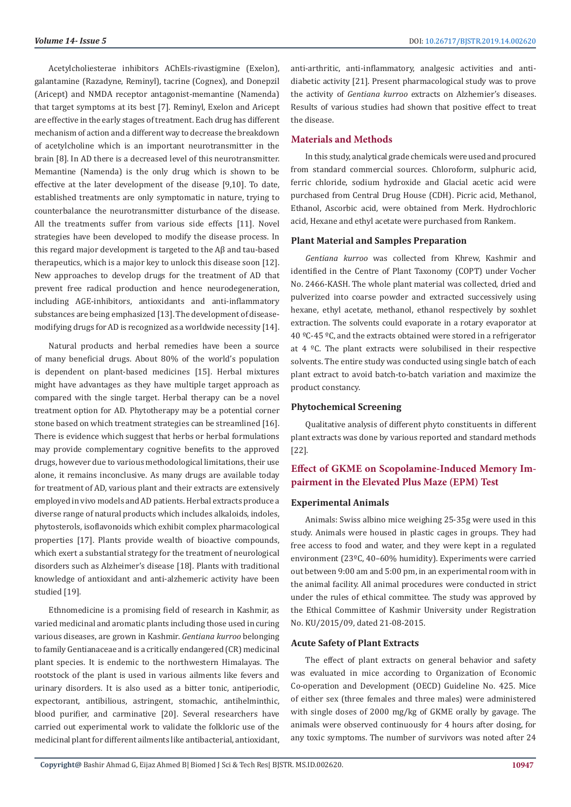Acetylcholiesterae inhibitors AChEIs-rivastigmine (Exelon), galantamine (Razadyne, Reminyl), tacrine (Cognex), and Donepzil (Aricept) and NMDA receptor antagonist-memantine (Namenda) that target symptoms at its best [7]. Reminyl, Exelon and Aricept are effective in the early stages of treatment. Each drug has different mechanism of action and a different way to decrease the breakdown of acetylcholine which is an important neurotransmitter in the brain [8]. In AD there is a decreased level of this neurotransmitter. Memantine (Namenda) is the only drug which is shown to be effective at the later development of the disease [9,10]. To date, established treatments are only symptomatic in nature, trying to counterbalance the neurotransmitter disturbance of the disease. All the treatments suffer from various side effects [11]. Novel strategies have been developed to modify the disease process. In this regard major development is targeted to the Aβ and tau-based therapeutics, which is a major key to unlock this disease soon [12]. New approaches to develop drugs for the treatment of AD that prevent free radical production and hence neurodegeneration, including AGE-inhibitors, antioxidants and anti-inflammatory substances are being emphasized [13]. The development of diseasemodifying drugs for AD is recognized as a worldwide necessity [14].

Natural products and herbal remedies have been a source of many beneficial drugs. About 80% of the world's population is dependent on plant-based medicines [15]. Herbal mixtures might have advantages as they have multiple target approach as compared with the single target. Herbal therapy can be a novel treatment option for AD. Phytotherapy may be a potential corner stone based on which treatment strategies can be streamlined [16]. There is evidence which suggest that herbs or herbal formulations may provide complementary cognitive benefits to the approved drugs, however due to various methodological limitations, their use alone, it remains inconclusive. As many drugs are available today for treatment of AD, various plant and their extracts are extensively employed in vivo models and AD patients. Herbal extracts produce a diverse range of natural products which includes alkaloids, indoles, phytosterols, isoflavonoids which exhibit complex pharmacological properties [17]. Plants provide wealth of bioactive compounds, which exert a substantial strategy for the treatment of neurological disorders such as Alzheimer's disease [18]. Plants with traditional knowledge of antioxidant and anti-alzhemeric activity have been studied [19].

Ethnomedicine is a promising field of research in Kashmir, as varied medicinal and aromatic plants including those used in curing various diseases, are grown in Kashmir. *Gentiana kurroo* belonging to family Gentianaceae and is a critically endangered (CR) medicinal plant species. It is endemic to the northwestern Himalayas. The rootstock of the plant is used in various ailments like fevers and urinary disorders. It is also used as a bitter tonic, antiperiodic, expectorant, antibilious, astringent, stomachic, antihelminthic, blood purifier, and carminative [20]. Several researchers have carried out experimental work to validate the folkloric use of the medicinal plant for different ailments like antibacterial, antioxidant,

anti-arthritic, anti-inflammatory, analgesic activities and antidiabetic activity [21]. Present pharmacological study was to prove the activity of *Gentiana kurroo* extracts on Alzhemier's diseases. Results of various studies had shown that positive effect to treat the disease.

### **Materials and Methods**

In this study, analytical grade chemicals were used and procured from standard commercial sources. Chloroform, sulphuric acid, ferric chloride, sodium hydroxide and Glacial acetic acid were purchased from Central Drug House (CDH). Picric acid, Methanol, Ethanol, Ascorbic acid, were obtained from Merk. Hydrochloric acid, Hexane and ethyl acetate were purchased from Rankem.

#### **Plant Material and Samples Preparation**

*Gentiana kurroo* was collected from Khrew, Kashmir and identified in the Centre of Plant Taxonomy (COPT) under Vocher No. 2466-KASH. The whole plant material was collected, dried and pulverized into coarse powder and extracted successively using hexane, ethyl acetate, methanol, ethanol respectively by soxhlet extraction. The solvents could evaporate in a rotary evaporator at 40 ºC-45 ºC, and the extracts obtained were stored in a refrigerator at  $4 \text{ }^{\circ}$ C. The plant extracts were solubilised in their respective solvents. The entire study was conducted using single batch of each plant extract to avoid batch-to-batch variation and maximize the product constancy.

# **Phytochemical Screening**

Qualitative analysis of different phyto constituents in different plant extracts was done by various reported and standard methods [22].

# **Effect of GKME on Scopolamine-Induced Memory Impairment in the Elevated Plus Maze (EPM) Test**

#### **Experimental Animals**

Animals: Swiss albino mice weighing 25-35g were used in this study. Animals were housed in plastic cages in groups. They had free access to food and water, and they were kept in a regulated environment (23ºC, 40–60% humidity). Experiments were carried out between 9:00 am and 5:00 pm, in an experimental room with in the animal facility. All animal procedures were conducted in strict under the rules of ethical committee. The study was approved by the Ethical Committee of Kashmir University under Registration No. KU/2015/09, dated 21-08-2015.

#### **Acute Safety of Plant Extracts**

The effect of plant extracts on general behavior and safety was evaluated in mice according to Organization of Economic Co-operation and Development (OECD) Guideline No. 425. Mice of either sex (three females and three males) were administered with single doses of 2000 mg/kg of GKME orally by gavage. The animals were observed continuously for 4 hours after dosing, for any toxic symptoms. The number of survivors was noted after 24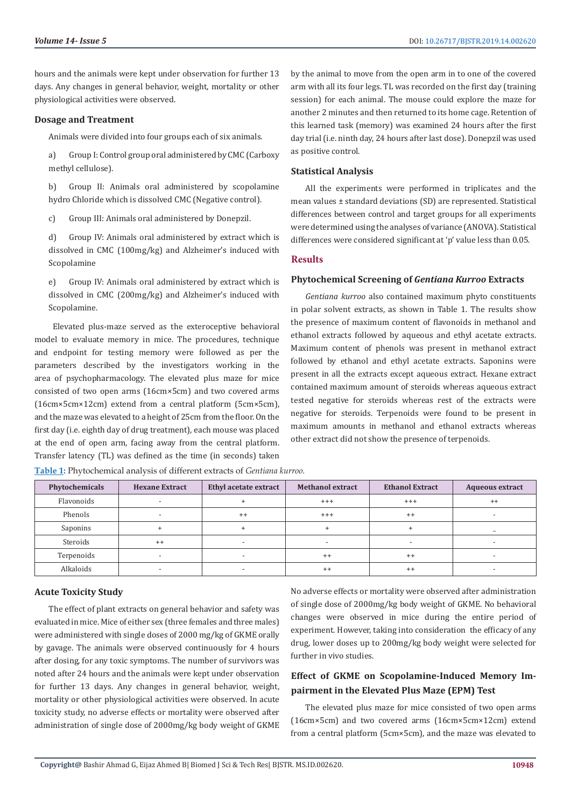hours and the animals were kept under observation for further 13 days. Any changes in general behavior, weight, mortality or other physiological activities were observed.

#### **Dosage and Treatment**

Animals were divided into four groups each of six animals.

a) Group I: Control group oral administered by CMC (Carboxy methyl cellulose).

b) Group II: Animals oral administered by scopolamine hydro Chloride which is dissolved CMC (Negative control).

c) Group III: Animals oral administered by Donepzil.

d) Group IV: Animals oral administered by extract which is dissolved in CMC (100mg/kg) and Alzheimer's induced with Scopolamine

e) Group IV: Animals oral administered by extract which is dissolved in CMC (200mg/kg) and Alzheimer's induced with Scopolamine.

 Elevated plus-maze served as the exteroceptive behavioral model to evaluate memory in mice. The procedures, technique and endpoint for testing memory were followed as per the parameters described by the investigators working in the area of psychopharmacology. The elevated plus maze for mice consisted of two open arms (16cm×5cm) and two covered arms (16cm×5cm×12cm) extend from a central platform (5cm×5cm), and the maze was elevated to a height of 25cm from the floor. On the first day (i.e. eighth day of drug treatment), each mouse was placed at the end of open arm, facing away from the central platform. Transfer latency (TL) was defined as the time (in seconds) taken

by the animal to move from the open arm in to one of the covered arm with all its four legs. TL was recorded on the first day (training session) for each animal. The mouse could explore the maze for another 2 minutes and then returned to its home cage. Retention of this learned task (memory) was examined 24 hours after the first day trial (i.e. ninth day, 24 hours after last dose). Donepzil was used as positive control.

#### **Statistical Analysis**

All the experiments were performed in triplicates and the mean values ± standard deviations (SD) are represented. Statistical differences between control and target groups for all experiments were determined using the analyses of variance (ANOVA). Statistical differences were considered significant at 'p' value less than 0.05.

#### **Results**

#### **Phytochemical Screening of** *Gentiana Kurroo* **Extracts**

*Gentiana kurroo* also contained maximum phyto constituents in polar solvent extracts, as shown in Table 1. The results show the presence of maximum content of flavonoids in methanol and ethanol extracts followed by aqueous and ethyl acetate extracts. Maximum content of phenols was present in methanol extract followed by ethanol and ethyl acetate extracts. Saponins were present in all the extracts except aqueous extract. Hexane extract contained maximum amount of steroids whereas aqueous extract tested negative for steroids whereas rest of the extracts were negative for steroids. Terpenoids were found to be present in maximum amounts in methanol and ethanol extracts whereas other extract did not show the presence of terpenoids.

| Phytochemicals | <b>Hexane Extract</b>    | Ethyl acetate extract    | <b>Methanol extract</b> | <b>Ethanol Extract</b> | <b>Aqueous extract</b> |
|----------------|--------------------------|--------------------------|-------------------------|------------------------|------------------------|
| Flavonoids     |                          |                          | $^{+++}$                | $^{+++}$               | $^{++}$                |
| Phenols        | $\overline{\phantom{a}}$ | $++$                     | $^{+++}$                | $^{++}$                | -                      |
| Saponins       |                          |                          |                         |                        |                        |
| Steroids       | $++$                     | -                        |                         |                        |                        |
| Terpenoids     | $\overline{\phantom{0}}$ | $\overline{\phantom{0}}$ | $^{++}$                 | $^{++}$                |                        |
| Alkaloids      |                          |                          | $^{++}$                 | $^{++}$                |                        |

**Table 1:** Phytochemical analysis of different extracts of *Gentiana kurroo.*

# **Acute Toxicity Study**

The effect of plant extracts on general behavior and safety was evaluated in mice. Mice of either sex (three females and three males) were administered with single doses of 2000 mg/kg of GKME orally by gavage. The animals were observed continuously for 4 hours after dosing, for any toxic symptoms. The number of survivors was noted after 24 hours and the animals were kept under observation for further 13 days. Any changes in general behavior, weight, mortality or other physiological activities were observed. In acute toxicity study, no adverse effects or mortality were observed after administration of single dose of 2000mg/kg body weight of GKME

No adverse effects or mortality were observed after administration of single dose of 2000mg/kg body weight of GKME. No behavioral changes were observed in mice during the entire period of experiment. However, taking into consideration the efficacy of any drug, lower doses up to 200mg/kg body weight were selected for further in vivo studies.

# **Effect of GKME on Scopolamine-Induced Memory Impairment in the Elevated Plus Maze (EPM) Test**

The elevated plus maze for mice consisted of two open arms (16cm×5cm) and two covered arms (16cm×5cm×12cm) extend from a central platform (5cm×5cm), and the maze was elevated to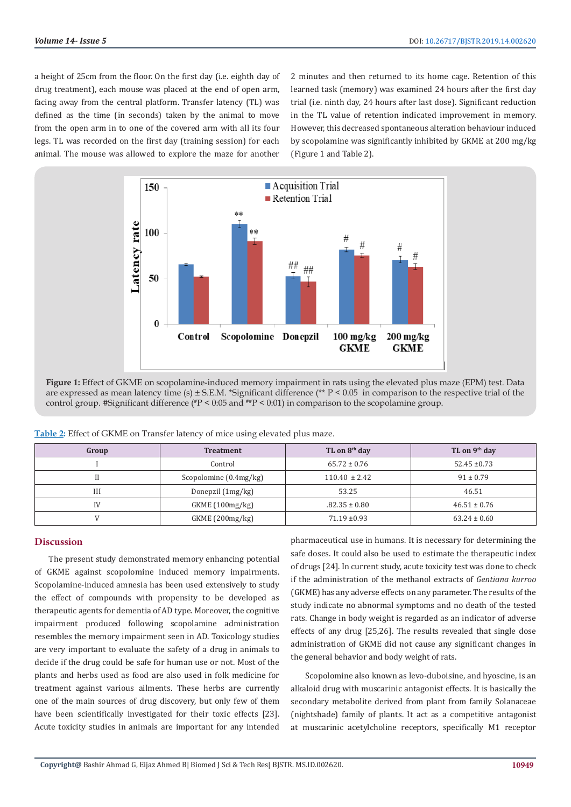a height of 25cm from the floor. On the first day (i.e. eighth day of drug treatment), each mouse was placed at the end of open arm, facing away from the central platform. Transfer latency (TL) was defined as the time (in seconds) taken by the animal to move from the open arm in to one of the covered arm with all its four legs. TL was recorded on the first day (training session) for each animal. The mouse was allowed to explore the maze for another

2 minutes and then returned to its home cage. Retention of this learned task (memory) was examined 24 hours after the first day trial (i.e. ninth day, 24 hours after last dose). Significant reduction in the TL value of retention indicated improvement in memory. However, this decreased spontaneous alteration behaviour induced by scopolamine was significantly inhibited by GKME at 200 mg/kg (Figure 1 and Table 2).



**Figure 1:** Effect of GKME on scopolamine-induced memory impairment in rats using the elevated plus maze (EPM) test. Data are expressed as mean latency time (s) ± S.E.M. \*Significant difference (\*\* P < 0.05 in comparison to the respective trial of the control group. #Significant difference ( $P < 0.05$  and  $P^* > 0.01$ ) in comparison to the scopolamine group.

| Group | <b>Treatment</b>       | TL on 8 <sup>th</sup> day | TL on 9 <sup>th</sup> day |
|-------|------------------------|---------------------------|---------------------------|
|       | Control                | $65.72 \pm 0.76$          | $52.45 \pm 0.73$          |
|       | Scopolomine (0.4mg/kg) | $110.40 \pm 2.42$         | $91 \pm 0.79$             |
| Ш     | Donepzil (1mg/kg)      | 53.25                     | 46.51                     |
| IV    | GKME(100mg/kg)         | $.82.35 \pm 0.80$         | $46.51 \pm 0.76$          |
|       | GKME (200mg/kg)        | $71.19 \pm 0.93$          | $63.24 \pm 0.60$          |

**Table 2:** Effect of GKME on Transfer latency of mice using elevated plus maze.

# **Discussion**

The present study demonstrated memory enhancing potential of GKME against scopolomine induced memory impairments. Scopolamine-induced amnesia has been used extensively to study the effect of compounds with propensity to be developed as therapeutic agents for dementia of AD type. Moreover, the cognitive impairment produced following scopolamine administration resembles the memory impairment seen in AD. Toxicology studies are very important to evaluate the safety of a drug in animals to decide if the drug could be safe for human use or not. Most of the plants and herbs used as food are also used in folk medicine for treatment against various ailments. These herbs are currently one of the main sources of drug discovery, but only few of them have been scientifically investigated for their toxic effects [23]. Acute toxicity studies in animals are important for any intended

pharmaceutical use in humans. It is necessary for determining the safe doses. It could also be used to estimate the therapeutic index of drugs [24]. In current study, acute toxicity test was done to check if the administration of the methanol extracts of *Gentiana kurroo*  (GKME) has any adverse effects on any parameter. The results of the study indicate no abnormal symptoms and no death of the tested rats. Change in body weight is regarded as an indicator of adverse effects of any drug [25,26]. The results revealed that single dose administration of GKME did not cause any significant changes in the general behavior and body weight of rats.

Scopolomine also known as levo-duboisine, and hyoscine, is an alkaloid drug with muscarinic antagonist effects. It is basically the secondary metabolite derived from plant from family Solanaceae (nightshade) family of plants. It act as a competitive antagonist at muscarinic acetylcholine receptors, specifically M1 receptor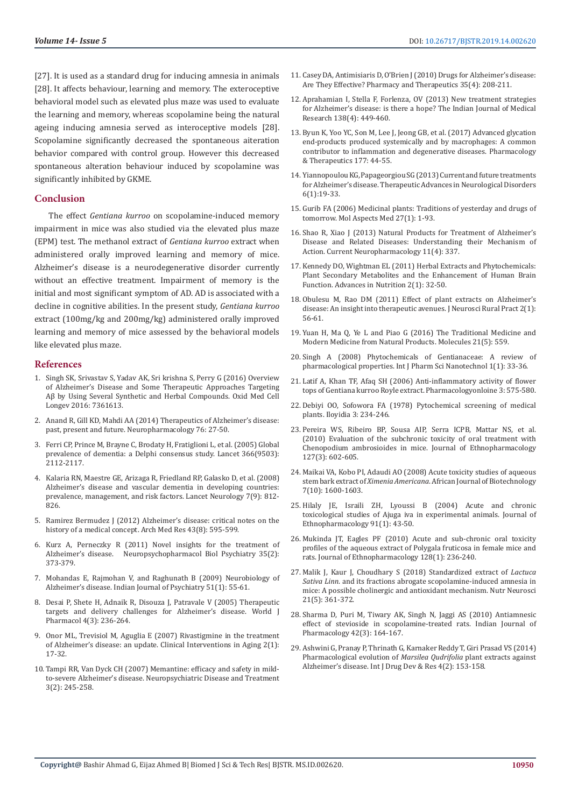[27]. It is used as a standard drug for inducing amnesia in animals [28]. It affects behaviour, learning and memory. The exteroceptive behavioral model such as elevated plus maze was used to evaluate the learning and memory, whereas scopolamine being the natural ageing inducing amnesia served as interoceptive models [28]. Scopolamine significantly decreased the spontaneous aiteration behavior compared with control group. However this decreased spontaneous alteration behaviour induced by scopolamine was significantly inhibited by GKME.

#### **Conclusion**

The effect *Gentiana kurroo* on scopolamine-induced memory impairment in mice was also studied via the elevated plus maze (EPM) test. The methanol extract of *Gentiana kurroo* extract when administered orally improved learning and memory of mice. Alzheimer's disease is a neurodegenerative disorder currently without an effective treatment. Impairment of memory is the initial and most significant symptom of AD. AD is associated with a decline in cognitive abilities. In the present study, *Gentiana kurroo* extract (100mg/kg and 200mg/kg) administered orally improved learning and memory of mice assessed by the behavioral models like elevated plus maze.

#### **References**

- 1. [Singh SK, Srivastav S, Yadav AK, Sri krishna S, Perry G \(2016\) Overview](https://www.ncbi.nlm.nih.gov/pubmed/27034741)  [of Alzheimer's Disease and Some Therapeutic Approaches Targeting](https://www.ncbi.nlm.nih.gov/pubmed/27034741)  [Aβ by Using Several Synthetic and Herbal Compounds. Oxid Med Cell](https://www.ncbi.nlm.nih.gov/pubmed/27034741)  [Longev 2016: 7361613.](https://www.ncbi.nlm.nih.gov/pubmed/27034741)
- 2. [Anand R, Gill KD, Mahdi AA \(2014\) Therapeutics of Alzheimer's disease:](https://www.ncbi.nlm.nih.gov/pubmed/23891641)  [past, present and future. Neuropharmacology 76: 27-50.](https://www.ncbi.nlm.nih.gov/pubmed/23891641)
- 3. [Ferri CP, Prince M, Brayne C, Brodaty H, Fratiglioni L, et al. \(2005\) Global](https://www.ncbi.nlm.nih.gov/pubmed/16360788)  [prevalence of dementia: a Delphi consensus study. Lancet 366\(9503\):](https://www.ncbi.nlm.nih.gov/pubmed/16360788)  [2112-2117.](https://www.ncbi.nlm.nih.gov/pubmed/16360788)
- 4. Kalaria RN, Maestre GE, Arizaga R, Friedland RP, Galasko D, et al. (2008) Alzheimer's disease and vascular dementia in developing countries: prevalence, management, and risk factors. Lancet Neurology 7(9): 812- 826.
- 5. [Ramirez Bermudez J \(2012\) Alzheimer's disease: critical notes on the](https://www.ncbi.nlm.nih.gov/pubmed/23178566)  [history of a medical concept. Arch Med Res 43\(8\): 595-599.](https://www.ncbi.nlm.nih.gov/pubmed/23178566)
- 6. [Kurz A, Perneczky R \(2011\) Novel insights for the treatment of](https://www.ncbi.nlm.nih.gov/pubmed/20655969)  [Alzheimer's disease. Neuropsychopharmacol Biol Psychiatry 35\(2\):](https://www.ncbi.nlm.nih.gov/pubmed/20655969)  [373-379.](https://www.ncbi.nlm.nih.gov/pubmed/20655969)
- 7. [Mohandas E, Rajmohan V, and Raghunath B \(2009\) Neurobiology of](https://www.ncbi.nlm.nih.gov/pmc/articles/PMC2738403/)  [Alzheimer's disease. Indian Journal of Psychiatry 51\(1\): 55-61.](https://www.ncbi.nlm.nih.gov/pmc/articles/PMC2738403/)
- 8. [Desai P, Shete H, Adnaik R, Disouza J, Patravale V \(2005\) Therapeutic](https://www.wjgnet.com/2220-3192/full/v4/i3/236.htm)  [targets and delivery challenges for Alzheimer's disease. World J](https://www.wjgnet.com/2220-3192/full/v4/i3/236.htm)  [Pharmacol 4\(3\): 236-264.](https://www.wjgnet.com/2220-3192/full/v4/i3/236.htm)
- 9. [Onor ML, Trevisiol M, Aguglia E \(2007\) Rivastigmine in the treatment](https://www.ncbi.nlm.nih.gov/pubmed/18044073)  [of Alzheimer's disease: an update. Clinical Interventions in Aging 2\(1\):](https://www.ncbi.nlm.nih.gov/pubmed/18044073)  [17-32.](https://www.ncbi.nlm.nih.gov/pubmed/18044073)
- 10. [Tampi RR, Van Dyck CH \(2007\) Memantine: efficacy and safety in mild](https://www.ncbi.nlm.nih.gov/pubmed/19300557)[to-severe Alzheimer's disease. Neuropsychiatric Disease and Treatment](https://www.ncbi.nlm.nih.gov/pubmed/19300557)  [3\(2\): 245-258.](https://www.ncbi.nlm.nih.gov/pubmed/19300557)
- 11. [Casey DA, Antimisiaris D, O'Brien J \(2010\) Drugs for Alzheimer's disease:](https://www.ncbi.nlm.nih.gov/pmc/articles/PMC2873716/) [Are They Effective? Pharmacy and Therapeutics 35\(4\): 208-211.](https://www.ncbi.nlm.nih.gov/pmc/articles/PMC2873716/)
- 12. [Aprahamian I, Stella F, Forlenza, OV \(2013\) New treatment strategies](https://www.ncbi.nlm.nih.gov/pmc/articles/PMC3868059/) [for Alzheimer's disease: is there a hope? The Indian Journal of Medical](https://www.ncbi.nlm.nih.gov/pmc/articles/PMC3868059/) [Research 138\(4\): 449-460.](https://www.ncbi.nlm.nih.gov/pmc/articles/PMC3868059/)
- 13. [Byun K, Yoo YC, Son M, Lee J, Jeong GB, et al. \(2017\) Advanced glycation](https://www.ncbi.nlm.nih.gov/pubmed/28223234) [end-products produced systemically and by macrophages: A common](https://www.ncbi.nlm.nih.gov/pubmed/28223234) [contributor to inflammation and degenerative diseases. Pharmacology](https://www.ncbi.nlm.nih.gov/pubmed/28223234) [& Therapeutics 177: 44-55.](https://www.ncbi.nlm.nih.gov/pubmed/28223234)
- 14. [Yiannopoulou KG, Papageorgiou SG \(2013\) Current and future treatments](https://www.ncbi.nlm.nih.gov/pmc/articles/PMC3526946/) [for Alzheimer's disease. Therapeutic Advances in Neurological Disorders](https://www.ncbi.nlm.nih.gov/pmc/articles/PMC3526946/) [6\(1\):19-33.](https://www.ncbi.nlm.nih.gov/pmc/articles/PMC3526946/)
- 15. [Gurib FA \(2006\) Medicinal plants: Traditions of yesterday and drugs of](https://www.ncbi.nlm.nih.gov/pubmed/16105678) [tomorrow. Mol Aspects Med 27\(1\): 1-93.](https://www.ncbi.nlm.nih.gov/pubmed/16105678)
- 16. [Shao R, Xiao J \(2013\) Natural Products for Treatment of Alzheimer's](https://www.ncbi.nlm.nih.gov/pmc/articles/PMC3744900/) [Disease and Related Diseases: Understanding their Mechanism of](https://www.ncbi.nlm.nih.gov/pmc/articles/PMC3744900/) [Action. Current Neuropharmacology 11\(4\): 337.](https://www.ncbi.nlm.nih.gov/pmc/articles/PMC3744900/)
- 17. [Kennedy DO, Wightman EL \(2011\) Herbal Extracts and Phytochemicals:](https://www.ncbi.nlm.nih.gov/pubmed/22211188) [Plant Secondary Metabolites and the Enhancement of Human Brain](https://www.ncbi.nlm.nih.gov/pubmed/22211188) [Function. Advances in Nutrition 2\(1\): 32-50.](https://www.ncbi.nlm.nih.gov/pubmed/22211188)
- 18. [Obulesu M, Rao DM \(2011\) Effect of plant extracts on Alzheimer's](https://www.ncbi.nlm.nih.gov/pubmed/21716802) [disease: An insight into therapeutic avenues. J Neurosci Rural Pract 2\(1\):](https://www.ncbi.nlm.nih.gov/pubmed/21716802) [56-61.](https://www.ncbi.nlm.nih.gov/pubmed/21716802)
- 19. [Yuan H, Ma Q, Ye L and Piao G \(2016\) The Traditional Medicine and](https://www.ncbi.nlm.nih.gov/pubmed/27136524) [Modern Medicine from Natural Products. Molecules 21\(5\): 559.](https://www.ncbi.nlm.nih.gov/pubmed/27136524)
- 20. [Singh A \(2008\) Phytochemicals of Gentianaceae: A review of](http://ijpsnonline.com/Issues/33.pdf) [pharmacological properties. Int J Pharm Sci Nanotechnol 1\(1\): 33-36.](http://ijpsnonline.com/Issues/33.pdf)
- 21. [Latif A, Khan TF, Afaq SH \(2006\) Anti-inflammatory activity of flower](https://www.researchgate.net/publication/215565453_Anti-inflammatory_Activity_of_Flower_Tops_of_Gentiana_Kurroo_Royale_Extract) [tops of Gentiana kurroo Royle extract. Pharmacologyonloine 3: 575-580.](https://www.researchgate.net/publication/215565453_Anti-inflammatory_Activity_of_Flower_Tops_of_Gentiana_Kurroo_Royale_Extract)
- 22. Debiyi OO, Sofowora FA (1978) Pytochemical screening of medical plants. Iloyidia 3: 234-246.
- 23. [Pereira WS, Ribeiro BP, Sousa AIP, Serra ICPB, Mattar NS, et al.](https://www.ncbi.nlm.nih.gov/pubmed/20026398) [\(2010\) Evaluation of the subchronic toxicity of oral treatment with](https://www.ncbi.nlm.nih.gov/pubmed/20026398) [Chenopodium ambrosioides in mice. Journal of Ethnopharmacology](https://www.ncbi.nlm.nih.gov/pubmed/20026398) [127\(3\): 602-605.](https://www.ncbi.nlm.nih.gov/pubmed/20026398)
- 24. [Maikai VA, Kobo PI, Adaudi AO \(2008\) Acute toxicity studies of aqueous](https://www.ajol.info/index.php/ajb/article/view/58740) stem bark extract of *Ximenia Americana*[. African Journal of Biotechnology](https://www.ajol.info/index.php/ajb/article/view/58740) [7\(10\): 1600-1603.](https://www.ajol.info/index.php/ajb/article/view/58740)
- 25. [Hilaly JE, Israili ZH, Lyoussi B \(2004\) Acute and chronic](https://www.ncbi.nlm.nih.gov/pubmed/15036466) [toxicological studies of Ajuga iva in experimental animals. Journal of](https://www.ncbi.nlm.nih.gov/pubmed/15036466) [Ethnopharmacology 91\(1\): 43-50.](https://www.ncbi.nlm.nih.gov/pubmed/15036466)
- 26. [Mukinda JT, Eagles PF \(2010\) Acute and sub-chronic oral toxicity](https://www.ncbi.nlm.nih.gov/pubmed/20079821) [profiles of the aqueous extract of Polygala fruticosa in female mice and](https://www.ncbi.nlm.nih.gov/pubmed/20079821) [rats. Journal of Ethnopharmacology 128\(1\): 236-240.](https://www.ncbi.nlm.nih.gov/pubmed/20079821)
- 27. [Malik J, Kaur J, Choudhary S \(2018\) Standardized extract of](https://www.ncbi.nlm.nih.gov/pubmed/28245707) *Lactuca Sativa Linn*[. and its fractions abrogate scopolamine-induced amnesia in](https://www.ncbi.nlm.nih.gov/pubmed/28245707) [mice: A possible cholinergic and antioxidant mechanism. Nutr Neurosci](https://www.ncbi.nlm.nih.gov/pubmed/28245707) [21\(5\): 361-372.](https://www.ncbi.nlm.nih.gov/pubmed/28245707)
- 28. [Sharma D, Puri M, Tiwary AK, Singh N, Jaggi AS \(2010\) Antiamnesic](https://www.ncbi.nlm.nih.gov/pubmed/20871768) [effect of stevioside in scopolamine-treated rats. Indian Journal of](https://www.ncbi.nlm.nih.gov/pubmed/20871768) [Pharmacology 42\(3\): 164-167.](https://www.ncbi.nlm.nih.gov/pubmed/20871768)
- 29. [Ashwini G, Pranay P, Thrinath G, Karnaker Reddy T, Giri Prasad VS \(2014\)](http://www.ijddr.in/drug-development/pharmacological-evalution-of-marsilea-qudrifolia-plant-extractsagainst-alzheimers-disease.php?aid=5022) [Pharmacological evolution of](http://www.ijddr.in/drug-development/pharmacological-evalution-of-marsilea-qudrifolia-plant-extractsagainst-alzheimers-disease.php?aid=5022) *Marsilea Qudrifolia* plant extracts against [Alzheimer's disease. Int J Drug Dev & Res 4\(2\): 153-158.](http://www.ijddr.in/drug-development/pharmacological-evalution-of-marsilea-qudrifolia-plant-extractsagainst-alzheimers-disease.php?aid=5022)